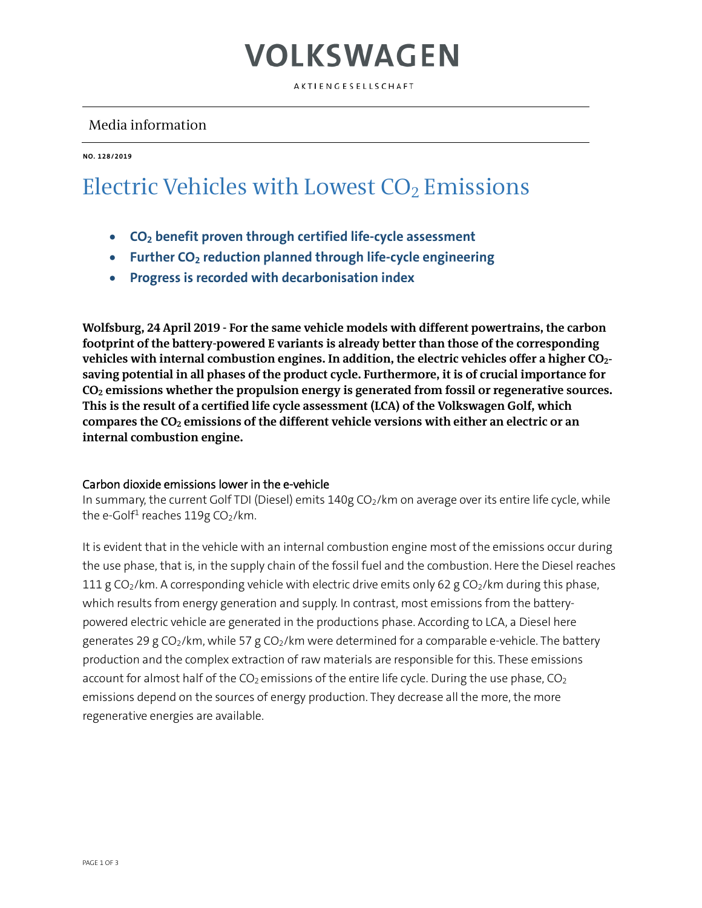### VOLKSWAGEN

AKTIENGESELLSCHAFT

### Media information

**NO. 128/2019**

### Electric Vehicles with Lowest CO<sub>2</sub> Emissions

- **CO2 benefit proven through certified life-cycle assessment**
- **Further CO2 reduction planned through life-cycle engineering**
- **Progress is recorded with decarbonisation index**

**Wolfsburg, 24 April 2019 - For the same vehicle models with different powertrains, the carbon footprint of the battery-powered E variants is already better than those of the corresponding vehicles with internal combustion engines. In addition, the electric vehicles offer a higher CO2 saving potential in all phases of the product cycle. Furthermore, it is of crucial importance for CO2 emissions whether the propulsion energy is generated from fossil or regenerative sources. This is the result of a certified life cycle assessment (LCA) of the Volkswagen Golf, which compares the CO2 emissions of the different vehicle versions with either an electric or an internal combustion engine.**

#### Carbon dioxide emissions lower in the e-vehicle

In summary, the current Golf TDI (Diesel) emits  $140g$  CO<sub>2</sub>/km on average over its entire life cycle, while the e-Golf<sup>1</sup> reaches  $119g$  CO<sub>2</sub>/km.

It is evident that in the vehicle with an internal combustion engine most of the emissions occur during the use phase, that is, in the supply chain of the fossil fuel and the combustion. Here the Diesel reaches 111 g CO<sub>2</sub>/km. A corresponding vehicle with electric drive emits only 62 g CO<sub>2</sub>/km during this phase, which results from energy generation and supply. In contrast, most emissions from the batterypowered electric vehicle are generated in the productions phase. According to LCA, a Diesel here generates 29 g CO<sub>2</sub>/km, while 57 g CO<sub>2</sub>/km were determined for a comparable e-vehicle. The battery production and the complex extraction of raw materials are responsible for this. These emissions account for almost half of the  $CO<sub>2</sub>$  emissions of the entire life cycle. During the use phase,  $CO<sub>2</sub>$ emissions depend on the sources of energy production. They decrease all the more, the more regenerative energies are available.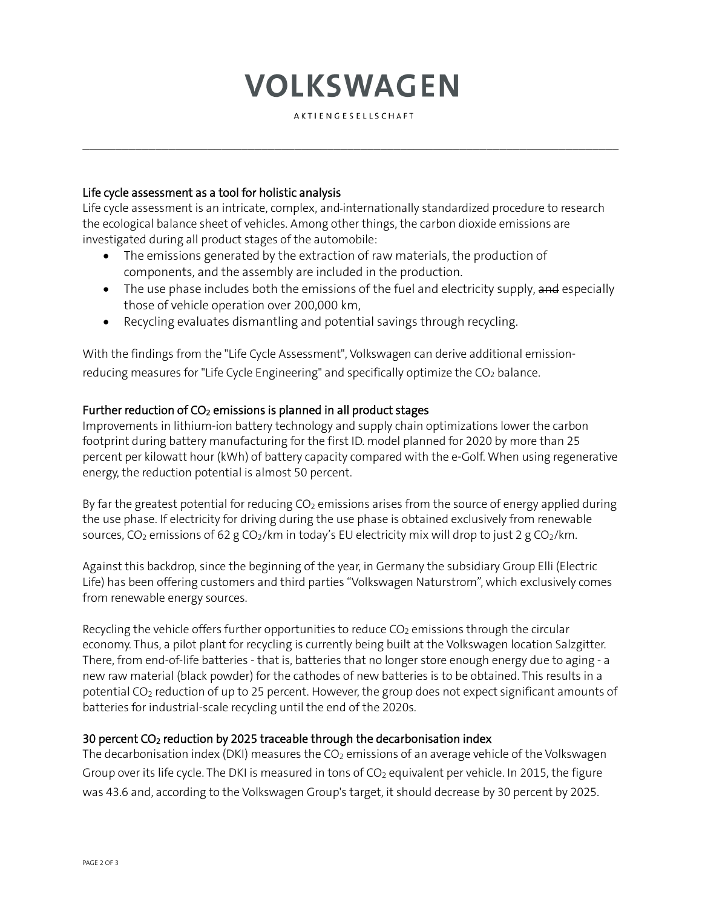# **VOLKSWAGEN**

AKTIENGESELLSCHAFT

 $\mathcal{L}_\mathcal{L} = \{ \mathcal{L}_\mathcal{L} = \{ \mathcal{L}_\mathcal{L} = \{ \mathcal{L}_\mathcal{L} = \{ \mathcal{L}_\mathcal{L} = \{ \mathcal{L}_\mathcal{L} = \{ \mathcal{L}_\mathcal{L} = \{ \mathcal{L}_\mathcal{L} = \{ \mathcal{L}_\mathcal{L} = \{ \mathcal{L}_\mathcal{L} = \{ \mathcal{L}_\mathcal{L} = \{ \mathcal{L}_\mathcal{L} = \{ \mathcal{L}_\mathcal{L} = \{ \mathcal{L}_\mathcal{L} = \{ \mathcal{L}_\mathcal{$ 

#### Life cycle assessment as a tool for holistic analysis

Life cycle assessment is an intricate, complex, and internationally standardized procedure to research the ecological balance sheet of vehicles. Among other things, the carbon dioxide emissions are investigated during all product stages of the automobile:

- The emissions generated by the extraction of raw materials, the production of components, and the assembly are included in the production.
- The use phase includes both the emissions of the fuel and electricity supply, and especially those of vehicle operation over 200,000 km,
- Recycling evaluates dismantling and potential savings through recycling.

With the findings from the "Life Cycle Assessment", Volkswagen can derive additional emissionreducing measures for "Life Cycle Engineering" and specifically optimize the  $CO<sub>2</sub>$  balance.

#### Further reduction of  $CO<sub>2</sub>$  emissions is planned in all product stages

Improvements in lithium-ion battery technology and supply chain optimizations lower the carbon footprint during battery manufacturing for the first ID. model planned for 2020 by more than 25 percent per kilowatt hour (kWh) of battery capacity compared with the e-Golf. When using regenerative energy, the reduction potential is almost 50 percent.

By far the greatest potential for reducing  $CO<sub>2</sub>$  emissions arises from the source of energy applied during the use phase. If electricity for driving during the use phase is obtained exclusively from renewable sources, CO<sub>2</sub> emissions of 62 g CO<sub>2</sub>/km in today's EU electricity mix will drop to just 2 g CO<sub>2</sub>/km.

Against this backdrop, since the beginning of the year, in Germany the subsidiary Group Elli (Electric Life) has been offering customers and third parties "Volkswagen Naturstrom", which exclusively comes from renewable energy sources.

Recycling the vehicle offers further opportunities to reduce  $CO<sub>2</sub>$  emissions through the circular economy. Thus, a pilot plant for recycling is currently being built at the Volkswagen location Salzgitter. There, from end-of-life batteries - that is, batteries that no longer store enough energy due to aging - a new raw material (black powder) for the cathodes of new batteries is to be obtained. This results in a potential CO2 reduction of up to 25 percent. However, the group does not expect significant amounts of batteries for industrial-scale recycling until the end of the 2020s.

#### 30 percent CO2 reduction by 2025 traceable through the decarbonisation index

The decarbonisation index (DKI) measures the  $CO<sub>2</sub>$  emissions of an average vehicle of the Volkswagen Group over its life cycle. The DKI is measured in tons of  $CO<sub>2</sub>$  equivalent per vehicle. In 2015, the figure was 43.6 and, according to the Volkswagen Group's target, it should decrease by 30 percent by 2025.